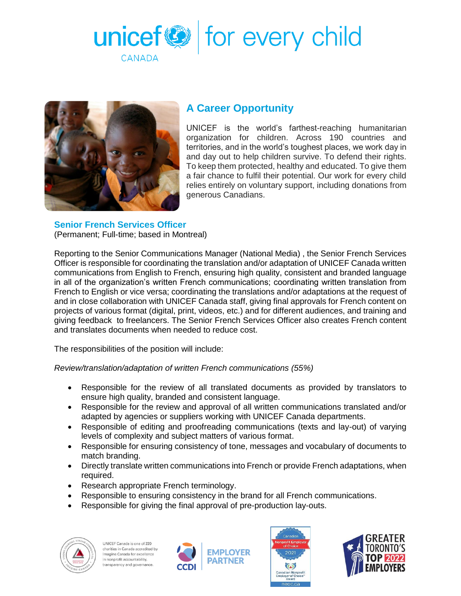



# **A Career Opportunity**

UNICEF is the world's farthest-reaching humanitarian organization for children. Across 190 countries and territories, and in the world's toughest places, we work day in and day out to help children survive. To defend their rights. To keep them protected, healthy and educated. To give them a fair chance to fulfil their potential. Our work for every child relies entirely on voluntary support, including donations from generous Canadians.

## **Senior French Services Officer**

(Permanent; Full-time; based in Montreal)

Reporting to the Senior Communications Manager (National Media) , the Senior French Services Officer is responsible for coordinating the translation and/or adaptation of UNICEF Canada written communications from English to French, ensuring high quality, consistent and branded language in all of the organization's written French communications; coordinating written translation from French to English or vice versa; coordinating the translations and/or adaptations at the request of and in close collaboration with UNICEF Canada staff, giving final approvals for French content on projects of various format (digital, print, videos, etc.) and for different audiences, and training and giving feedback to freelancers. The Senior French Services Officer also creates French content and translates documents when needed to reduce cost.

The responsibilities of the position will include:

*Review/translation/adaptation of written French communications (55%)*

- Responsible for the review of all translated documents as provided by translators to ensure high quality, branded and consistent language.
- Responsible for the review and approval of all written communications translated and/or adapted by agencies or suppliers working with UNICEF Canada departments.
- Responsible of editing and proofreading communications (texts and lay-out) of varying levels of complexity and subject matters of various format.
- Responsible for ensuring consistency of tone, messages and vocabulary of documents to match branding.
- Directly translate written communications into French or provide French adaptations, when required.
- Research appropriate French terminology.
- Responsible to ensuring consistency in the brand for all French communications.
- Responsible for giving the final approval of pre-production lay-outs.



UNICEF Canada is one of 220 charities in Canada accredited by Imagine Canada for excellence in nonprofit accountability. ansparency and governance





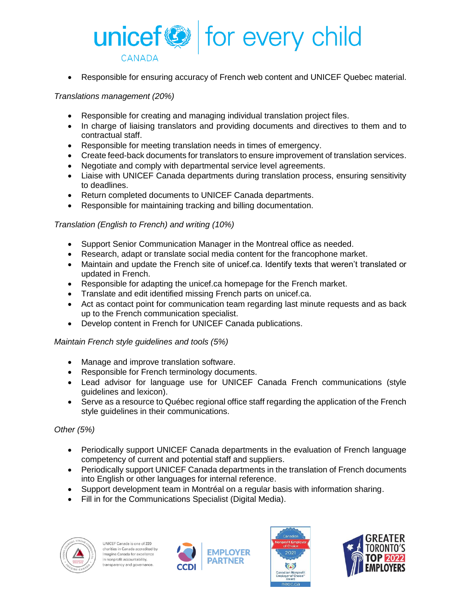

Responsible for ensuring accuracy of French web content and UNICEF Quebec material.

#### *Translations management (20%)*

- Responsible for creating and managing individual translation project files.
- In charge of liaising translators and providing documents and directives to them and to contractual staff.
- Responsible for meeting translation needs in times of emergency.
- Create feed-back documents for translators to ensure improvement of translation services.
- Negotiate and comply with departmental service level agreements.
- Liaise with UNICEF Canada departments during translation process, ensuring sensitivity to deadlines.
- Return completed documents to UNICEF Canada departments.
- Responsible for maintaining tracking and billing documentation.

#### *Translation (English to French) and writing (10%)*

- Support Senior Communication Manager in the Montreal office as needed.
- Research, adapt or translate social media content for the francophone market.
- Maintain and update the French site of unicef.ca. Identify texts that weren't translated or updated in French.
- Responsible for adapting the unicef.ca homepage for the French market.
- Translate and edit identified missing French parts on unicef.ca.
- Act as contact point for communication team regarding last minute requests and as back up to the French communication specialist.
- Develop content in French for UNICEF Canada publications.

#### *Maintain French style guidelines and tools (5%)*

- Manage and improve translation software.
- Responsible for French terminology documents.
- Lead advisor for language use for UNICEF Canada French communications (style guidelines and lexicon).
- Serve as a resource to Québec regional office staff regarding the application of the French style guidelines in their communications.

### *Other (5%)*

- Periodically support UNICEF Canada departments in the evaluation of French language competency of current and potential staff and suppliers.
- Periodically support UNICEF Canada departments in the translation of French documents into English or other languages for internal reference.
- Support development team in Montréal on a regular basis with information sharing.
- Fill in for the Communications Specialist (Digital Media).